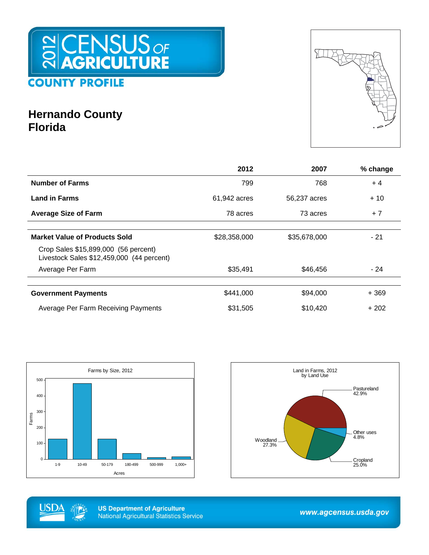

## **Hernando County Florida**



|                                                                                   | 2012         | 2007         | % change |
|-----------------------------------------------------------------------------------|--------------|--------------|----------|
| <b>Number of Farms</b>                                                            | 799          | 768          | $+4$     |
| <b>Land in Farms</b>                                                              | 61,942 acres | 56,237 acres | $+10$    |
| <b>Average Size of Farm</b>                                                       | 78 acres     | 73 acres     | $+7$     |
|                                                                                   |              |              |          |
| <b>Market Value of Products Sold</b>                                              | \$28,358,000 | \$35,678,000 | - 21     |
| Crop Sales \$15,899,000 (56 percent)<br>Livestock Sales \$12,459,000 (44 percent) |              |              |          |
| Average Per Farm                                                                  | \$35,491     | \$46,456     | - 24     |
|                                                                                   |              |              |          |
| <b>Government Payments</b>                                                        | \$441,000    | \$94,000     | $+369$   |
| Average Per Farm Receiving Payments                                               | \$31,505     | \$10,420     | $+202$   |







www.agcensus.usda.gov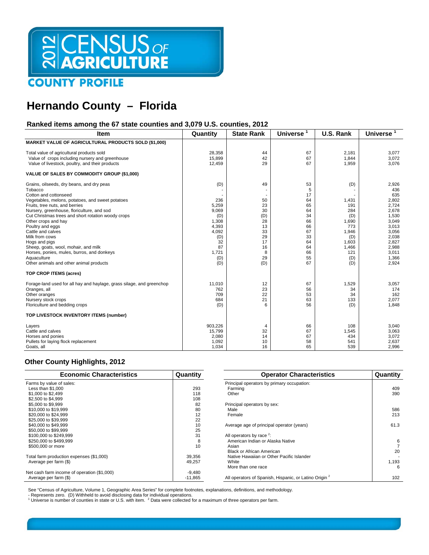# SCENSUS OF

### **COUNTY PROFILE**

## **Hernando County – Florida**

### **Ranked items among the 67 state counties and 3,079 U.S. counties, 2012**

| Item                                                                                                                                                                                                                                                                                                                                                                                                                                                                            | Quantity                                                                                          | <b>State Rank</b>                                                          | <b>Universe</b>                                                                       | U.S. Rank                                                                                         | <b>Universe</b>                                                                                                                 |
|---------------------------------------------------------------------------------------------------------------------------------------------------------------------------------------------------------------------------------------------------------------------------------------------------------------------------------------------------------------------------------------------------------------------------------------------------------------------------------|---------------------------------------------------------------------------------------------------|----------------------------------------------------------------------------|---------------------------------------------------------------------------------------|---------------------------------------------------------------------------------------------------|---------------------------------------------------------------------------------------------------------------------------------|
| MARKET VALUE OF AGRICULTURAL PRODUCTS SOLD (\$1,000)                                                                                                                                                                                                                                                                                                                                                                                                                            |                                                                                                   |                                                                            |                                                                                       |                                                                                                   |                                                                                                                                 |
| Total value of agricultural products sold<br>Value of crops including nursery and greenhouse<br>Value of livestock, poultry, and their products                                                                                                                                                                                                                                                                                                                                 | 28,358<br>15,899<br>12,459                                                                        | 44<br>42<br>29                                                             | 67<br>67<br>67                                                                        | 2.181<br>1,844<br>1,959                                                                           | 3,077<br>3,072<br>3,076                                                                                                         |
| VALUE OF SALES BY COMMODITY GROUP (\$1,000)                                                                                                                                                                                                                                                                                                                                                                                                                                     |                                                                                                   |                                                                            |                                                                                       |                                                                                                   |                                                                                                                                 |
| Grains, oilseeds, dry beans, and dry peas<br>Tobacco<br>Cotton and cottonseed<br>Vegetables, melons, potatoes, and sweet potatoes<br>Fruits, tree nuts, and berries<br>Nursery, greenhouse, floriculture, and sod<br>Cut Christmas trees and short rotation woody crops<br>Other crops and hay<br>Poultry and eggs<br>Cattle and calves<br>Milk from cows<br>Hogs and pigs<br>Sheep, goats, wool, mohair, and milk<br>Horses, ponies, mules, burros, and donkeys<br>Aquaculture | (D)<br>236<br>5,259<br>9,069<br>(D)<br>1,308<br>4,393<br>4,092<br>(D)<br>32<br>87<br>1,721<br>(D) | 49<br>50<br>23<br>30<br>(D)<br>28<br>13<br>33<br>29<br>17<br>16<br>8<br>29 | 53<br>5<br>17<br>64<br>65<br>64<br>34<br>66<br>66<br>67<br>33<br>64<br>64<br>66<br>55 | (D)<br>1,431<br>191<br>284<br>(D)<br>1,690<br>773<br>1,946<br>(D)<br>1,603<br>1,466<br>121<br>(D) | 2,926<br>436<br>635<br>2,802<br>2,724<br>2,678<br>1.530<br>3,049<br>3.013<br>3,056<br>2,038<br>2,827<br>2,988<br>3,011<br>1,366 |
| Other animals and other animal products                                                                                                                                                                                                                                                                                                                                                                                                                                         | (D)                                                                                               | (D)                                                                        | 67                                                                                    | (D)                                                                                               | 2,924                                                                                                                           |
| TOP CROP ITEMS (acres)                                                                                                                                                                                                                                                                                                                                                                                                                                                          |                                                                                                   |                                                                            |                                                                                       |                                                                                                   |                                                                                                                                 |
| Forage-land used for all hay and haylage, grass silage, and greenchop<br>Oranges, all<br>Other oranges<br>Nursery stock crops<br>Floriculture and bedding crops                                                                                                                                                                                                                                                                                                                 | 11,010<br>762<br>709<br>684<br>(D)                                                                | 12<br>23<br>22<br>21<br>6                                                  | 67<br>56<br>53<br>63<br>56                                                            | 1,529<br>34<br>34<br>133<br>(D)                                                                   | 3,057<br>174<br>162<br>2,077<br>1,848                                                                                           |
| TOP LIVESTOCK INVENTORY ITEMS (number)                                                                                                                                                                                                                                                                                                                                                                                                                                          |                                                                                                   |                                                                            |                                                                                       |                                                                                                   |                                                                                                                                 |
| Layers<br>Cattle and calves<br>Horses and ponies<br>Pullets for laying flock replacement<br>Goats, all                                                                                                                                                                                                                                                                                                                                                                          | 903,226<br>15,799<br>2,080<br>1,092<br>1,034                                                      | 4<br>32<br>14<br>10<br>16                                                  | 66<br>67<br>67<br>58<br>65                                                            | 108<br>1,545<br>434<br>541<br>539                                                                 | 3,040<br>3,063<br>3,072<br>2,637<br>2,996                                                                                       |

#### **Other County Highlights, 2012**

| <b>Economic Characteristics</b>             | Quantity  | <b>Operator Characteristics</b>                                   | Quantity |
|---------------------------------------------|-----------|-------------------------------------------------------------------|----------|
| Farms by value of sales:                    |           | Principal operators by primary occupation:                        |          |
| Less than $$1.000$                          | 293       | Farming                                                           | 409      |
| \$1,000 to \$2,499                          | 118       | Other                                                             | 390      |
| \$2,500 to \$4,999                          | 108       |                                                                   |          |
| \$5,000 to \$9,999                          | 82        | Principal operators by sex:                                       |          |
| \$10,000 to \$19,999                        | 80        | Male                                                              | 586      |
| \$20,000 to \$24,999                        | 12        | Female                                                            | 213      |
| \$25,000 to \$39,999                        | 22        |                                                                   |          |
| \$40,000 to \$49,999                        | 10        | Average age of principal operator (years)                         | 61.3     |
| \$50,000 to \$99,999                        | 25        |                                                                   |          |
| \$100,000 to \$249,999                      | 31        | All operators by race $2$ :                                       |          |
| \$250,000 to \$499,999                      | 8         | American Indian or Alaska Native                                  | 6        |
| \$500,000 or more                           | 10        | Asian                                                             |          |
|                                             |           | Black or African American                                         | 20       |
| Total farm production expenses (\$1,000)    | 39,356    | Native Hawaiian or Other Pacific Islander                         |          |
| Average per farm (\$)                       | 49,257    | White                                                             | 1,193    |
|                                             |           | More than one race                                                | 6        |
| Net cash farm income of operation (\$1,000) | $-9,480$  |                                                                   |          |
| Average per farm (\$)                       | $-11,865$ | All operators of Spanish, Hispanic, or Latino Origin <sup>2</sup> | 102      |

See "Census of Agriculture, Volume 1, Geographic Area Series" for complete footnotes, explanations, definitions, and methodology.

- Represents zero. (D) Withheld to avoid disclosing data for individual operations.<br><sup>1</sup> Universe is number of counties in state or U.S. with item. <sup>2</sup> Data were collected for a maximum of three operators per farm.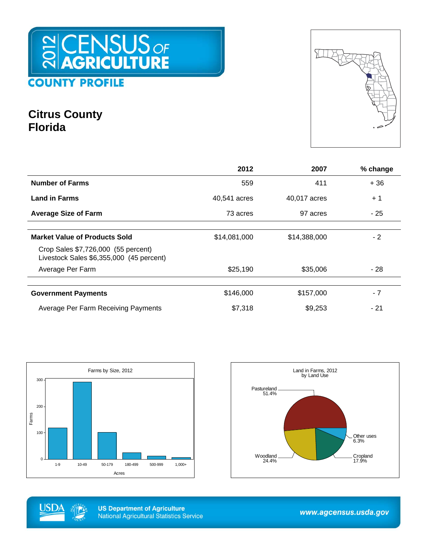

## **Citrus County Florida**



|                                                                                 | 2012         | 2007         | % change |
|---------------------------------------------------------------------------------|--------------|--------------|----------|
| <b>Number of Farms</b>                                                          | 559          | 411          | $+36$    |
| <b>Land in Farms</b>                                                            | 40,541 acres | 40,017 acres | $+1$     |
| <b>Average Size of Farm</b>                                                     | 73 acres     | 97 acres     | - 25     |
|                                                                                 |              |              |          |
| <b>Market Value of Products Sold</b>                                            | \$14,081,000 | \$14,388,000 | $-2$     |
| Crop Sales \$7,726,000 (55 percent)<br>Livestock Sales \$6,355,000 (45 percent) |              |              |          |
| Average Per Farm                                                                | \$25,190     | \$35,006     | - 28     |
|                                                                                 |              |              |          |
| <b>Government Payments</b>                                                      | \$146,000    | \$157,000    | $-7$     |
| Average Per Farm Receiving Payments                                             | \$7,318      | \$9,253      | - 21     |







**US Department of Agriculture National Agricultural Statistics Service** 

www.agcensus.usda.gov